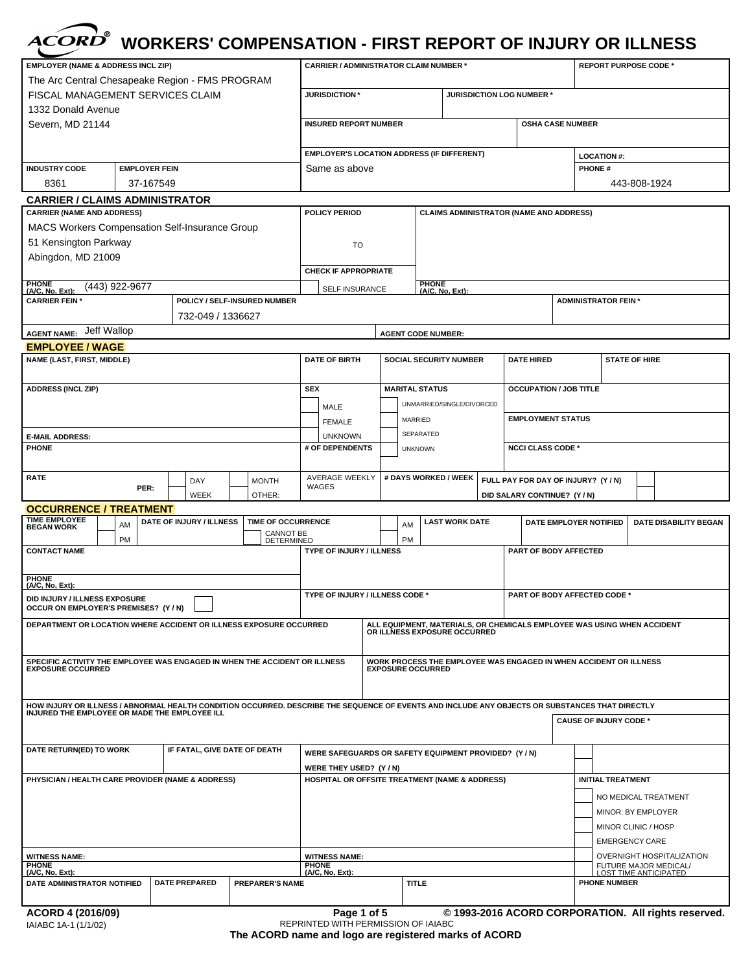|                                                                                                                                                 |           |                              |  |                                                                        | <b>WORKERS' COMPENSATION - FIRST REPORT OF INJURY OR ILLNESS</b>                     |                          |                           |                               |                              |                                     |                                                                   |                                            |                               |                                                       |                                                                         |  |
|-------------------------------------------------------------------------------------------------------------------------------------------------|-----------|------------------------------|--|------------------------------------------------------------------------|--------------------------------------------------------------------------------------|--------------------------|---------------------------|-------------------------------|------------------------------|-------------------------------------|-------------------------------------------------------------------|--------------------------------------------|-------------------------------|-------------------------------------------------------|-------------------------------------------------------------------------|--|
| <b>EMPLOYER (NAME &amp; ADDRESS INCL ZIP)</b><br>The Arc Central Chesapeake Region - FMS PROGRAM                                                |           |                              |  |                                                                        | <b>CARRIER / ADMINISTRATOR CLAIM NUMBER *</b>                                        |                          |                           |                               |                              |                                     |                                                                   |                                            |                               |                                                       | <b>REPORT PURPOSE CODE *</b>                                            |  |
| <b>FISCAL MANAGEMENT SERVICES CLAIM</b>                                                                                                         |           |                              |  |                                                                        | <b>JURISDICTION*</b>                                                                 |                          |                           |                               |                              |                                     | JURISDICTION LOG NUMBER *                                         |                                            |                               |                                                       |                                                                         |  |
| 1332 Donald Avenue<br>Severn, MD 21144                                                                                                          |           |                              |  |                                                                        | <b>INSURED REPORT NUMBER</b>                                                         |                          |                           |                               |                              |                                     |                                                                   | <b>OSHA CASE NUMBER</b>                    |                               |                                                       |                                                                         |  |
|                                                                                                                                                 |           |                              |  |                                                                        | <b>EMPLOYER'S LOCATION ADDRESS (IF DIFFERENT)</b>                                    |                          |                           |                               |                              |                                     |                                                                   |                                            | <b>LOCATION #:</b>            |                                                       |                                                                         |  |
| <b>INDUSTRY CODE</b><br><b>EMPLOYER FEIN</b>                                                                                                    |           |                              |  | Same as above                                                          |                                                                                      |                          |                           |                               | <b>PHONE#</b>                |                                     |                                                                   |                                            |                               |                                                       |                                                                         |  |
| 8361                                                                                                                                            | 37-167549 |                              |  |                                                                        |                                                                                      |                          |                           |                               |                              |                                     |                                                                   |                                            |                               |                                                       | 443-808-1924                                                            |  |
| <b>CARRIER / CLAIMS ADMINISTRATOR</b>                                                                                                           |           |                              |  |                                                                        |                                                                                      |                          |                           |                               |                              |                                     |                                                                   |                                            |                               |                                                       |                                                                         |  |
| <b>CARRIER (NAME AND ADDRESS)</b>                                                                                                               |           |                              |  | <b>POLICY PERIOD</b><br><b>CLAIMS ADMINISTRATOR (NAME AND ADDRESS)</b> |                                                                                      |                          |                           |                               |                              |                                     |                                                                   |                                            |                               |                                                       |                                                                         |  |
| <b>MACS Workers Compensation Self-Insurance Group</b>                                                                                           |           |                              |  |                                                                        |                                                                                      |                          |                           |                               |                              |                                     |                                                                   |                                            |                               |                                                       |                                                                         |  |
| 51 Kensington Parkway                                                                                                                           |           |                              |  |                                                                        | TO                                                                                   |                          |                           |                               |                              |                                     |                                                                   |                                            |                               |                                                       |                                                                         |  |
| Abingdon, MD 21009                                                                                                                              |           |                              |  |                                                                        | <b>CHECK IF APPROPRIATE</b>                                                          |                          |                           |                               |                              |                                     |                                                                   |                                            |                               |                                                       |                                                                         |  |
|                                                                                                                                                 |           |                              |  |                                                                        |                                                                                      | PHONE<br>(A/C, No, Ext): |                           |                               |                              |                                     |                                                                   |                                            |                               |                                                       |                                                                         |  |
| PHONE<br>(A/C, No, Ext):<br>(443) 922-9677<br><b>CARRIER FEIN*</b>                                                                              |           |                              |  | POLICY / SELF-INSURED NUMBER                                           | <b>SELF INSURANCE</b>                                                                |                          |                           |                               |                              |                                     |                                                                   |                                            |                               |                                                       |                                                                         |  |
|                                                                                                                                                 |           | 732-049 / 1336627            |  |                                                                        |                                                                                      |                          |                           |                               |                              |                                     |                                                                   |                                            | <b>ADMINISTRATOR FEIN*</b>    |                                                       |                                                                         |  |
| Jeff Wallop<br><b>AGENT NAME:</b>                                                                                                               |           |                              |  |                                                                        |                                                                                      |                          |                           |                               |                              |                                     |                                                                   |                                            |                               |                                                       |                                                                         |  |
| <b>EMPLOYEE / WAGE</b>                                                                                                                          |           |                              |  |                                                                        |                                                                                      |                          | <b>AGENT CODE NUMBER:</b> |                               |                              |                                     |                                                                   |                                            |                               |                                                       |                                                                         |  |
| <b>NAME (LAST, FIRST, MIDDLE)</b>                                                                                                               |           |                              |  |                                                                        | <b>DATE OF BIRTH</b>                                                                 |                          |                           | <b>SOCIAL SECURITY NUMBER</b> |                              |                                     | <b>DATE HIRED</b>                                                 |                                            |                               |                                                       | <b>STATE OF HIRE</b>                                                    |  |
|                                                                                                                                                 |           |                              |  |                                                                        |                                                                                      |                          |                           |                               |                              |                                     |                                                                   |                                            |                               |                                                       |                                                                         |  |
| <b>ADDRESS (INCL ZIP)</b>                                                                                                                       |           |                              |  |                                                                        | <b>SEX</b>                                                                           |                          | <b>MARITAL STATUS</b>     |                               |                              |                                     | <b>OCCUPATION / JOB TITLE</b>                                     |                                            |                               |                                                       |                                                                         |  |
|                                                                                                                                                 |           |                              |  |                                                                        | MALE                                                                                 |                          |                           |                               | UNMARRIED/SINGLE/DIVORCED    |                                     |                                                                   |                                            |                               |                                                       |                                                                         |  |
|                                                                                                                                                 |           |                              |  |                                                                        | <b>FEMALE</b>                                                                        |                          | MARRIED                   |                               |                              |                                     | <b>EMPLOYMENT STATUS</b>                                          |                                            |                               |                                                       |                                                                         |  |
| <b>E-MAIL ADDRESS:</b>                                                                                                                          |           |                              |  |                                                                        | <b>UNKNOWN</b>                                                                       |                          |                           | SEPARATED                     |                              |                                     |                                                                   |                                            |                               |                                                       |                                                                         |  |
| <b>PHONE</b>                                                                                                                                    |           |                              |  |                                                                        | # OF DEPENDENTS                                                                      |                          |                           | <b>UNKNOWN</b>                |                              |                                     | <b>NCCI CLASS CODE *</b>                                          |                                            |                               |                                                       |                                                                         |  |
| <b>RATE</b>                                                                                                                                     |           | DAY                          |  | <b>MONTH</b>                                                           | <b>AVERAGE WEEKLY</b>                                                                |                          |                           | # DAYS WORKED / WEEK          |                              |                                     | FULL PAY FOR DAY OF INJURY? (Y / N)                               |                                            |                               |                                                       |                                                                         |  |
|                                                                                                                                                 | PER:      | WEEK                         |  | OTHER:                                                                 | WAGES                                                                                |                          |                           |                               |                              |                                     | DID SALARY CONTINUE? (Y / N)                                      |                                            |                               |                                                       |                                                                         |  |
| <b>OCCURRENCE / TREATMENT</b>                                                                                                                   |           |                              |  |                                                                        |                                                                                      |                          |                           |                               |                              |                                     |                                                                   |                                            |                               |                                                       |                                                                         |  |
| <b>TIME EMPLOYEE</b><br>AM<br><b>BEGAN WORK</b>                                                                                                 |           | DATE OF INJURY / ILLNESS     |  | TIME OF OCCURRENCE                                                     |                                                                                      |                          | AM                        |                               | <b>LAST WORK DATE</b>        |                                     |                                                                   | DATE EMPLOYER NOTIFIED                     |                               |                                                       | <b>DATE DISABILITY BEGAN</b>                                            |  |
| PM                                                                                                                                              |           |                              |  | <b>CANNOT BE</b><br><b>DETERMINED</b>                                  |                                                                                      |                          | PM                        |                               |                              |                                     |                                                                   |                                            |                               |                                                       |                                                                         |  |
| <b>CONTACT NAME</b>                                                                                                                             |           |                              |  |                                                                        | <b>TYPE OF INJURY / ILLNESS</b>                                                      |                          |                           |                               |                              |                                     | PART OF BODY AFFECTED                                             |                                            |                               |                                                       |                                                                         |  |
|                                                                                                                                                 |           |                              |  |                                                                        |                                                                                      |                          |                           |                               |                              |                                     |                                                                   |                                            |                               |                                                       |                                                                         |  |
| PHONE<br>(A/C, No, Ext):                                                                                                                        |           |                              |  |                                                                        |                                                                                      |                          |                           |                               |                              |                                     |                                                                   |                                            |                               |                                                       |                                                                         |  |
| DID INJURY / ILLNESS EXPOSURE<br>OCCUR ON EMPLOYER'S PREMISES? (Y / N)                                                                          |           |                              |  |                                                                        | <b>TYPE OF INJURY / ILLNESS CODE *</b>                                               |                          |                           |                               |                              | <b>PART OF BODY AFFECTED CODE *</b> |                                                                   |                                            |                               |                                                       |                                                                         |  |
| DEPARTMENT OR LOCATION WHERE ACCIDENT OR ILLNESS EXPOSURE OCCURRED                                                                              |           |                              |  |                                                                        |                                                                                      |                          |                           |                               | OR ILLNESS EXPOSURE OCCURRED |                                     |                                                                   |                                            |                               |                                                       | ALL EQUIPMENT, MATERIALS, OR CHEMICALS EMPLOYEE WAS USING WHEN ACCIDENT |  |
| SPECIFIC ACTIVITY THE EMPLOYEE WAS ENGAGED IN WHEN THE ACCIDENT OR ILLNESS<br><b>EXPOSURE OCCURRED</b>                                          |           |                              |  |                                                                        |                                                                                      |                          | <b>EXPOSURE OCCURRED</b>  |                               |                              |                                     | WORK PROCESS THE EMPLOYEE WAS ENGAGED IN WHEN ACCIDENT OR ILLNESS |                                            |                               |                                                       |                                                                         |  |
| HOW INJURY OR ILLNESS / ABNORMAL HEALTH CONDITION OCCURRED. DESCRIBE THE SEQUENCE OF EVENTS AND INCLUDE ANY OBJECTS OR SUBSTANCES THAT DIRECTLY |           |                              |  |                                                                        |                                                                                      |                          |                           |                               |                              |                                     |                                                                   |                                            |                               |                                                       |                                                                         |  |
| INJURED THE EMPLOYEE OR MADE THE EMPLOYEE ILL                                                                                                   |           |                              |  |                                                                        |                                                                                      |                          |                           |                               |                              |                                     |                                                                   |                                            | <b>CAUSE OF INJURY CODE *</b> |                                                       |                                                                         |  |
| DATE RETURN(ED) TO WORK                                                                                                                         |           | IF FATAL, GIVE DATE OF DEATH |  |                                                                        | WERE SAFEGUARDS OR SAFETY EQUIPMENT PROVIDED? (Y/N)                                  |                          |                           |                               |                              |                                     |                                                                   |                                            |                               |                                                       |                                                                         |  |
| <b>PHYSICIAN / HEALTH CARE PROVIDER (NAME &amp; ADDRESS)</b>                                                                                    |           |                              |  |                                                                        | WERE THEY USED? (Y / N)<br><b>HOSPITAL OR OFFSITE TREATMENT (NAME &amp; ADDRESS)</b> |                          |                           |                               |                              |                                     |                                                                   |                                            | <b>INITIAL TREATMENT</b>      |                                                       |                                                                         |  |
|                                                                                                                                                 |           |                              |  |                                                                        |                                                                                      |                          |                           |                               |                              |                                     |                                                                   |                                            |                               |                                                       |                                                                         |  |
|                                                                                                                                                 |           |                              |  |                                                                        |                                                                                      |                          |                           |                               |                              |                                     |                                                                   | NO MEDICAL TREATMENT<br>MINOR: BY EMPLOYER |                               |                                                       |                                                                         |  |
|                                                                                                                                                 |           |                              |  |                                                                        |                                                                                      |                          |                           |                               |                              |                                     |                                                                   |                                            | MINOR CLINIC / HOSP           |                                                       |                                                                         |  |
|                                                                                                                                                 |           |                              |  |                                                                        |                                                                                      |                          |                           |                               |                              |                                     |                                                                   |                                            |                               |                                                       | <b>EMERGENCY CARE</b>                                                   |  |
| <b>WITNESS NAME:</b>                                                                                                                            |           |                              |  | <b>WITNESS NAME:</b>                                                   |                                                                                      |                          |                           |                               |                              |                                     |                                                                   | OVERNIGHT HOSPITALIZATION                  |                               |                                                       |                                                                         |  |
| <b>PHONE</b><br>(A/C, No, Ext):                                                                                                                 |           |                              |  | <b>PHONE</b><br>(A/C, No, Ext):                                        |                                                                                      |                          |                           |                               |                              |                                     |                                                                   |                                            |                               | FUTURE MAJOR MEDICAL/<br><b>LOST TIME ANTICIPATED</b> |                                                                         |  |
| DATE ADMINISTRATOR NOTIFIED                                                                                                                     |           | <b>DATE PREPARED</b>         |  | <b>PREPARER'S NAME</b>                                                 |                                                                                      |                          |                           | TITLE                         |                              |                                     |                                                                   |                                            | <b>PHONE NUMBER</b>           |                                                       |                                                                         |  |
|                                                                                                                                                 |           |                              |  |                                                                        |                                                                                      |                          |                           |                               |                              |                                     |                                                                   |                                            |                               |                                                       |                                                                         |  |
| ACORD 4 (2016/09)                                                                                                                               |           |                              |  |                                                                        | Page 1 of 5                                                                          |                          |                           |                               |                              |                                     |                                                                   |                                            |                               |                                                       | © 1993-2016 ACORD CORPORATION. All rights reserved.                     |  |

**The ACORD name and logo are registered marks of ACORD** REPRINTED WITH PERMISSION OF IAIABC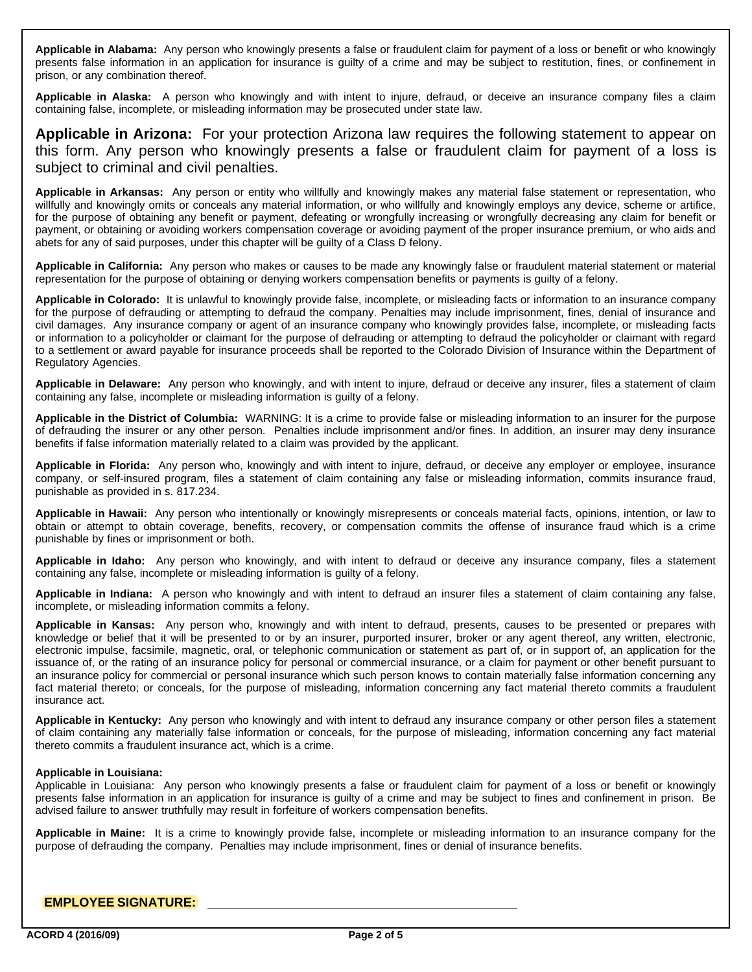**Applicable in Alabama:** Any person who knowingly presents a false or fraudulent claim for payment of a loss or benefit or who knowingly presents false information in an application for insurance is guilty of a crime and may be subject to restitution, fines, or confinement in prison, or any combination thereof.

**Applicable in Alaska:** A person who knowingly and with intent to injure, defraud, or deceive an insurance company files a claim containing false, incomplete, or misleading information may be prosecuted under state law.

**Applicable in Arizona:** For your protection Arizona law requires the following statement to appear on this form. Any person who knowingly presents a false or fraudulent claim for payment of a loss is subject to criminal and civil penalties.

**Applicable in Arkansas:** Any person or entity who willfully and knowingly makes any material false statement or representation, who willfully and knowingly omits or conceals any material information, or who willfully and knowingly employs any device, scheme or artifice, for the purpose of obtaining any benefit or payment, defeating or wrongfully increasing or wrongfully decreasing any claim for benefit or payment, or obtaining or avoiding workers compensation coverage or avoiding payment of the proper insurance premium, or who aids and abets for any of said purposes, under this chapter will be guilty of a Class D felony.

**Applicable in California:** Any person who makes or causes to be made any knowingly false or fraudulent material statement or material representation for the purpose of obtaining or denying workers compensation benefits or payments is guilty of a felony.

**Applicable in Colorado:** It is unlawful to knowingly provide false, incomplete, or misleading facts or information to an insurance company for the purpose of defrauding or attempting to defraud the company. Penalties may include imprisonment, fines, denial of insurance and civil damages. Any insurance company or agent of an insurance company who knowingly provides false, incomplete, or misleading facts or information to a policyholder or claimant for the purpose of defrauding or attempting to defraud the policyholder or claimant with regard to a settlement or award payable for insurance proceeds shall be reported to the Colorado Division of Insurance within the Department of Regulatory Agencies.

**Applicable in Delaware:** Any person who knowingly, and with intent to injure, defraud or deceive any insurer, files a statement of claim containing any false, incomplete or misleading information is guilty of a felony.

**Applicable in the District of Columbia:** WARNING: It is a crime to provide false or misleading information to an insurer for the purpose of defrauding the insurer or any other person. Penalties include imprisonment and/or fines. In addition, an insurer may deny insurance benefits if false information materially related to a claim was provided by the applicant.

**Applicable in Florida:** Any person who, knowingly and with intent to injure, defraud, or deceive any employer or employee, insurance company, or self-insured program, files a statement of claim containing any false or misleading information, commits insurance fraud, punishable as provided in s. 817.234.

**Applicable in Hawaii:** Any person who intentionally or knowingly misrepresents or conceals material facts, opinions, intention, or law to obtain or attempt to obtain coverage, benefits, recovery, or compensation commits the offense of insurance fraud which is a crime punishable by fines or imprisonment or both.

**Applicable in Idaho:** Any person who knowingly, and with intent to defraud or deceive any insurance company, files a statement containing any false, incomplete or misleading information is guilty of a felony.

**Applicable in Indiana:** A person who knowingly and with intent to defraud an insurer files a statement of claim containing any false, incomplete, or misleading information commits a felony.

**Applicable in Kansas:** Any person who, knowingly and with intent to defraud, presents, causes to be presented or prepares with knowledge or belief that it will be presented to or by an insurer, purported insurer, broker or any agent thereof, any written, electronic, electronic impulse, facsimile, magnetic, oral, or telephonic communication or statement as part of, or in support of, an application for the issuance of, or the rating of an insurance policy for personal or commercial insurance, or a claim for payment or other benefit pursuant to an insurance policy for commercial or personal insurance which such person knows to contain materially false information concerning any fact material thereto; or conceals, for the purpose of misleading, information concerning any fact material thereto commits a fraudulent insurance act.

**Applicable in Kentucky:** Any person who knowingly and with intent to defraud any insurance company or other person files a statement of claim containing any materially false information or conceals, for the purpose of misleading, information concerning any fact material thereto commits a fraudulent insurance act, which is a crime.

### **Applicable in Louisiana:**

Applicable in Louisiana: Any person who knowingly presents a false or fraudulent claim for payment of a loss or benefit or knowingly presents false information in an application for insurance is guilty of a crime and may be subject to fines and confinement in prison. Be advised failure to answer truthfully may result in forfeiture of workers compensation benefits.

**Applicable in Maine:** It is a crime to knowingly provide false, incomplete or misleading information to an insurance company for the purpose of defrauding the company. Penalties may include imprisonment, fines or denial of insurance benefits.

## **EMPLOYEE SIGNATURE:**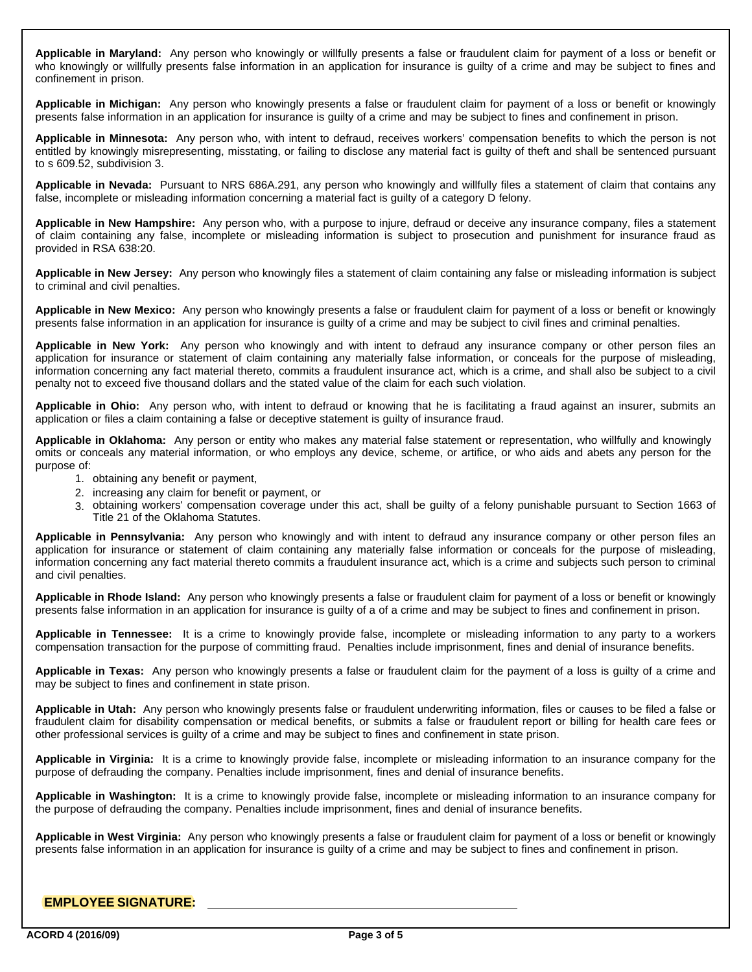**Applicable in Maryland:** Any person who knowingly or willfully presents a false or fraudulent claim for payment of a loss or benefit or who knowingly or willfully presents false information in an application for insurance is guilty of a crime and may be subject to fines and confinement in prison.

**Applicable in Michigan:** Any person who knowingly presents a false or fraudulent claim for payment of a loss or benefit or knowingly presents false information in an application for insurance is guilty of a crime and may be subject to fines and confinement in prison.

**Applicable in Minnesota:** Any person who, with intent to defraud, receives workers' compensation benefits to which the person is not entitled by knowingly misrepresenting, misstating, or failing to disclose any material fact is guilty of theft and shall be sentenced pursuant to s 609.52, subdivision 3.

**Applicable in Nevada:** Pursuant to NRS 686A.291, any person who knowingly and willfully files a statement of claim that contains any false, incomplete or misleading information concerning a material fact is guilty of a category D felony.

**Applicable in New Hampshire:** Any person who, with a purpose to injure, defraud or deceive any insurance company, files a statement of claim containing any false, incomplete or misleading information is subject to prosecution and punishment for insurance fraud as provided in RSA 638:20.

**Applicable in New Jersey:** Any person who knowingly files a statement of claim containing any false or misleading information is subject to criminal and civil penalties.

**Applicable in New Mexico:** Any person who knowingly presents a false or fraudulent claim for payment of a loss or benefit or knowingly presents false information in an application for insurance is guilty of a crime and may be subject to civil fines and criminal penalties.

**Applicable in New York:** Any person who knowingly and with intent to defraud any insurance company or other person files an application for insurance or statement of claim containing any materially false information, or conceals for the purpose of misleading, information concerning any fact material thereto, commits a fraudulent insurance act, which is a crime, and shall also be subject to a civil penalty not to exceed five thousand dollars and the stated value of the claim for each such violation.

**Applicable in Ohio:** Any person who, with intent to defraud or knowing that he is facilitating a fraud against an insurer, submits an application or files a claim containing a false or deceptive statement is guilty of insurance fraud.

**Applicable in Oklahoma:** Any person or entity who makes any material false statement or representation, who willfully and knowingly omits or conceals any material information, or who employs any device, scheme, or artifice, or who aids and abets any person for the purpose of:

- 1. obtaining any benefit or payment,
- 2. increasing any claim for benefit or payment, or
- 3. obtaining workers' compensation coverage under this act, shall be guilty of a felony punishable pursuant to Section 1663 of  $|$ Title 21 of the Oklahoma Statutes.

**Applicable in Pennsylvania:** Any person who knowingly and with intent to defraud any insurance company or other person files an application for insurance or statement of claim containing any materially false information or conceals for the purpose of misleading, information concerning any fact material thereto commits a fraudulent insurance act, which is a crime and subjects such person to criminal and civil penalties.

**Applicable in Rhode Island:** Any person who knowingly presents a false or fraudulent claim for payment of a loss or benefit or knowingly presents false information in an application for insurance is guilty of a of a crime and may be subject to fines and confinement in prison.

**Applicable in Tennessee:** It is a crime to knowingly provide false, incomplete or misleading information to any party to a workers compensation transaction for the purpose of committing fraud. Penalties include imprisonment, fines and denial of insurance benefits.

**Applicable in Texas:** Any person who knowingly presents a false or fraudulent claim for the payment of a loss is guilty of a crime and may be subject to fines and confinement in state prison.

**Applicable in Utah:** Any person who knowingly presents false or fraudulent underwriting information, files or causes to be filed a false or fraudulent claim for disability compensation or medical benefits, or submits a false or fraudulent report or billing for health care fees or other professional services is guilty of a crime and may be subject to fines and confinement in state prison.

**Applicable in Virginia:** It is a crime to knowingly provide false, incomplete or misleading information to an insurance company for the purpose of defrauding the company. Penalties include imprisonment, fines and denial of insurance benefits.

**Applicable in Washington:** It is a crime to knowingly provide false, incomplete or misleading information to an insurance company for the purpose of defrauding the company. Penalties include imprisonment, fines and denial of insurance benefits.

**Applicable in West Virginia:** Any person who knowingly presents a false or fraudulent claim for payment of a loss or benefit or knowingly presents false information in an application for insurance is guilty of a crime and may be subject to fines and confinement in prison.

# **EMPLOYEE SIGNATURE:**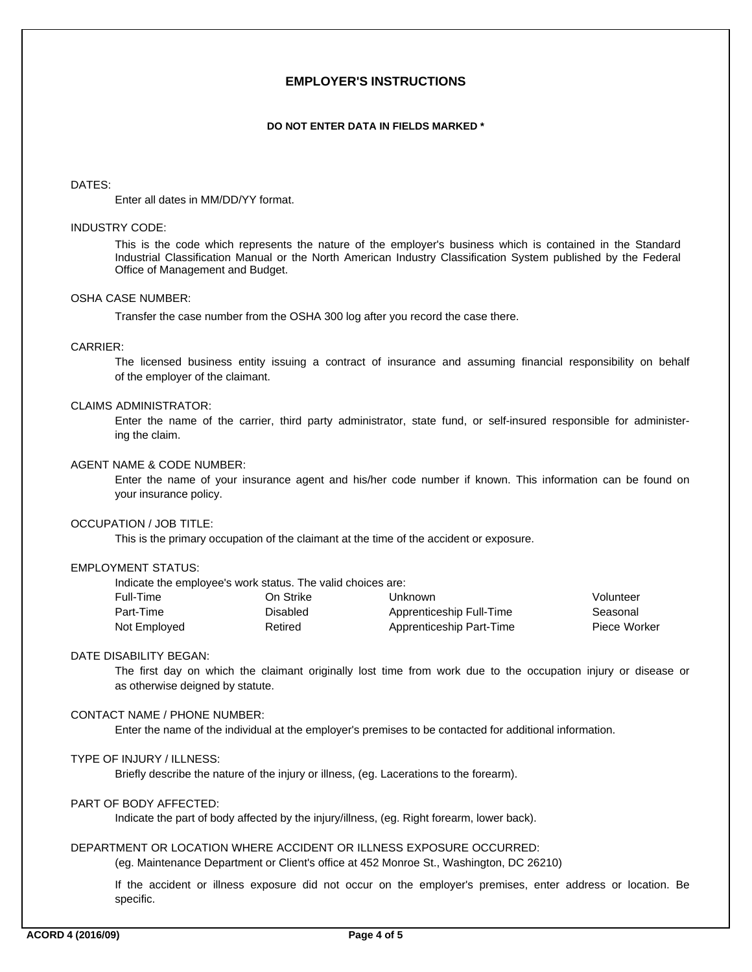## **EMPLOYER'S INSTRUCTIONS**

#### **DO NOT ENTER DATA IN FIELDS MARKED \***

#### DATES:

Enter all dates in MM/DD/YY format.

#### INDUSTRY CODE:

This is the code which represents the nature of the employer's business which is contained in the Standard Industrial Classification Manual or the North American Industry Classification System published by the Federal Office of Management and Budget.

### OSHA CASE NUMBER:

Transfer the case number from the OSHA 300 log after you record the case there.

#### CARRIER:

of the employer of the claimant. The licensed business entity issuing a contract of insurance and assuming financial responsibility on behalf

### CLAIMS ADMINISTRATOR:

ing the claim. Enter the name of the carrier, third party administrator, state fund, or self-insured responsible for administer-

#### AGENT NAME & CODE NUMBER:

your insurance policy. Enter the name of your insurance agent and his/her code number if known. This information can be found on

### OCCUPATION / JOB TITLE:

This is the primary occupation of the claimant at the time of the accident or exposure.

### EMPLOYMENT STATUS:

Indicate the employee's work status. The valid choices are:

| Full-Time    | On Strike | Unknown                  | Volunteer    |
|--------------|-----------|--------------------------|--------------|
| Part-Time    | Disabled  | Apprenticeship Full-Time | Seasonal     |
| Not Employed | Retired   | Apprenticeship Part-Time | Piece Worker |

## DATE DISABILITY BEGAN:

as otherwise deigned by statute. The first day on which the claimant originally lost time from work due to the occupation injury or disease or

## CONTACT NAME / PHONE NUMBER:

Enter the name of the individual at the employer's premises to be contacted for additional information.

## TYPE OF INJURY / ILLNESS:

Briefly describe the nature of the injury or illness, (eg. Lacerations to the forearm).

### PART OF BODY AFFECTED:

Indicate the part of body affected by the injury/illness, (eg. Right forearm, lower back).

### DEPARTMENT OR LOCATION WHERE ACCIDENT OR ILLNESS EXPOSURE OCCURRED:

(eg. Maintenance Department or Client's office at 452 Monroe St., Washington, DC 26210)

specific. If the accident or illness exposure did not occur on the employer's premises, enter address or location. Be